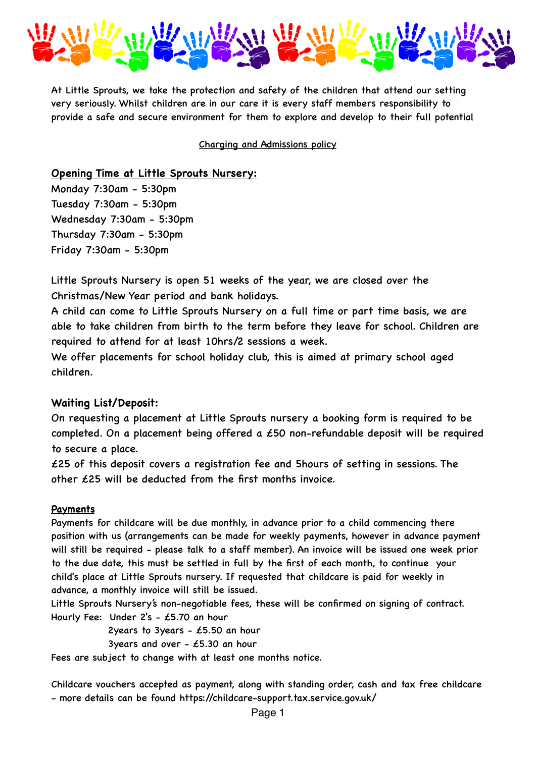

At Little Sprouts, we take the protection and safety of the children that attend our setting very seriously. Whilst children are in our care it is every staff members responsibility to provide a safe and secure environment for them to explore and develop to their full potential

Charging and Admissions policy

**Opening Time at Little Sprouts Nursery:**

Monday 7:30am - 5:30pm Tuesday 7:30am - 5:30pm Wednesday 7:30am - 5:30pm Thursday 7:30am - 5:30pm Friday 7:30am - 5:30pm

Little Sprouts Nursery is open 51 weeks of the year, we are closed over the Christmas/New Year period and bank holidays.

A child can come to Little Sprouts Nursery on a full time or part time basis, we are able to take children from birth to the term before they leave for school. Children are required to attend for at least 10hrs/2 sessions a week.

We offer placements for school holiday club, this is aimed at primary school aged children.

## **Waiting List/Deposit:**

On requesting a placement at Little Sprouts nursery a booking form is required to be completed. On a placement being offered a £50 non-refundable deposit will be required to secure a place.

£25 of this deposit covers a registration fee and 5hours of setting in sessions. The other £25 will be deducted from the first months invoice.

## **Payments**

Payments for childcare will be due monthly, in advance prior to a child commencing there position with us (arrangements can be made for weekly payments, however in advance payment will still be required - please talk to a staff member). An invoice will be issued one week prior to the due date, this must be settled in full by the first of each month, to continue your child's place at Little Sprouts nursery. If requested that childcare is paid for weekly in advance, a monthly invoice will still be issued.

Little Sprouts Nursery's non-negotiable fees, these will be confirmed on signing of contract. Hourly Fee: Under 2's - £5.70 an hour

2years to 3years -  $£5.50$  an hour

3years and over  $-$  £5.30 an hour

Fees are subject to change with at least one months notice.

Childcare vouchers accepted as payment, along with standing order, cash and tax free childcare - more details can be found https://childcare-support.tax.service.gov.uk/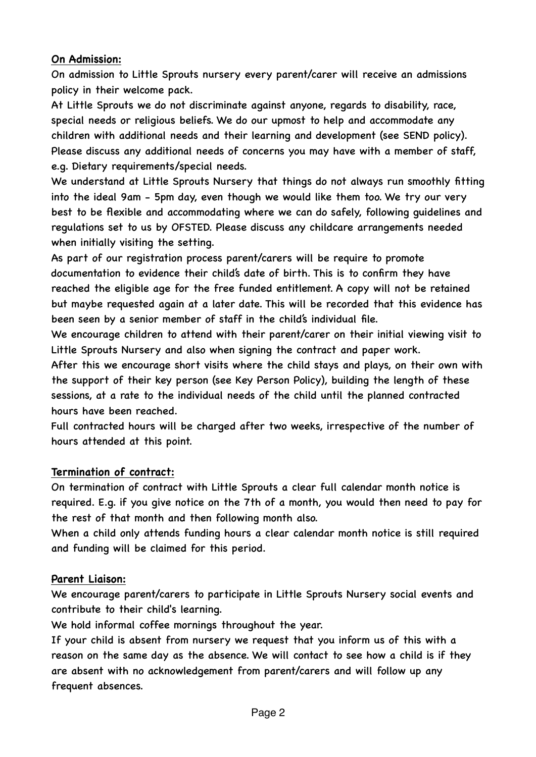## **On Admission:**

On admission to Little Sprouts nursery every parent/carer will receive an admissions policy in their welcome pack.

At Little Sprouts we do not discriminate against anyone, regards to disability, race, special needs or religious beliefs. We do our upmost to help and accommodate any children with additional needs and their learning and development (see SEND policy). Please discuss any additional needs of concerns you may have with a member of staff, e.g. Dietary requirements/special needs.

We understand at Little Sprouts Nursery that things do not always run smoothly fitting into the ideal 9am - 5pm day, even though we would like them too. We try our very best to be flexible and accommodating where we can do safely, following guidelines and regulations set to us by OFSTED. Please discuss any childcare arrangements needed when initially visiting the setting.

As part of our registration process parent/carers will be require to promote documentation to evidence their child's date of birth. This is to confirm they have reached the eligible age for the free funded entitlement. A copy will not be retained but maybe requested again at a later date. This will be recorded that this evidence has been seen by a senior member of staff in the child's individual file.

We encourage children to attend with their parent/carer on their initial viewing visit to Little Sprouts Nursery and also when signing the contract and paper work.

After this we encourage short visits where the child stays and plays, on their own with the support of their key person (see Key Person Policy), building the length of these sessions, at a rate to the individual needs of the child until the planned contracted hours have been reached.

Full contracted hours will be charged after two weeks, irrespective of the number of hours attended at this point.

# **Termination of contract:**

On termination of contract with Little Sprouts a clear full calendar month notice is required. E.g. if you give notice on the 7th of a month, you would then need to pay for the rest of that month and then following month also.

When a child only attends funding hours a clear calendar month notice is still required and funding will be claimed for this period.

## **Parent Liaison:**

We encourage parent/carers to participate in Little Sprouts Nursery social events and contribute to their child's learning.

We hold informal coffee mornings throughout the year.

If your child is absent from nursery we request that you inform us of this with a reason on the same day as the absence. We will contact to see how a child is if they are absent with no acknowledgement from parent/carers and will follow up any frequent absences.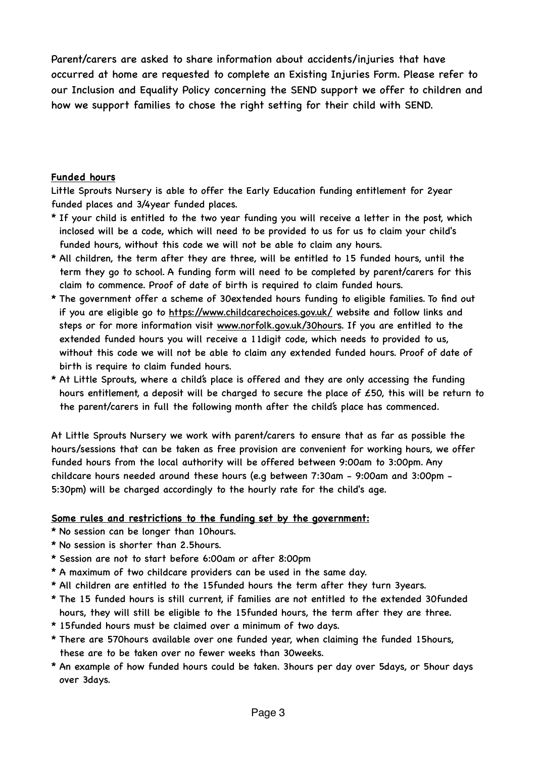Parent/carers are asked to share information about accidents/injuries that have occurred at home are requested to complete an Existing Injuries Form. Please refer to our Inclusion and Equality Policy concerning the SEND support we offer to children and how we support families to chose the right setting for their child with SEND.

#### **Funded hours**

Little Sprouts Nursery is able to offer the Early Education funding entitlement for 2year funded places and 3/4year funded places.

- \* If your child is entitled to the two year funding you will receive a letter in the post, which inclosed will be a code, which will need to be provided to us for us to claim your child's funded hours, without this code we will not be able to claim any hours.
- \* All children, the term after they are three, will be entitled to 15 funded hours, until the term they go to school. A funding form will need to be completed by parent/carers for this claim to commence. Proof of date of birth is required to claim funded hours.
- \* The government offer a scheme of 30extended hours funding to eligible families. To find out if you are eligible go to<https://www.childcarechoices.gov.uk/> website and follow links and steps or for more information visit [www.norfolk.gov.uk/30hours](http://www.norfolk.gov.uk/30hours). If you are entitled to the extended funded hours you will receive a 11digit code, which needs to provided to us, without this code we will not be able to claim any extended funded hours. Proof of date of birth is require to claim funded hours.
- \* At Little Sprouts, where a child's place is offered and they are only accessing the funding hours entitlement, a deposit will be charged to secure the place of £50, this will be return to the parent/carers in full the following month after the child's place has commenced.

At Little Sprouts Nursery we work with parent/carers to ensure that as far as possible the hours/sessions that can be taken as free provision are convenient for working hours, we offer funded hours from the local authority will be offered between 9:00am to 3:00pm. Any childcare hours needed around these hours (e.g between 7:30am - 9:00am and 3:00pm - 5:30pm) will be charged accordingly to the hourly rate for the child's age.

## **Some rules and restrictions to the funding set by the government:**

\* No session can be longer than 10hours.

- \* No session is shorter than 2.5hours.
- \* Session are not to start before 6:00am or after 8:00pm
- \* A maximum of two childcare providers can be used in the same day.
- \* All children are entitled to the 15funded hours the term after they turn 3years.
- \* The 15 funded hours is still current, if families are not entitled to the extended 30funded hours, they will still be eligible to the 15funded hours, the term after they are three.
- \* 15funded hours must be claimed over a minimum of two days.
- \* There are 570hours available over one funded year, when claiming the funded 15hours, these are to be taken over no fewer weeks than 30weeks.
- \* An example of how funded hours could be taken. 3hours per day over 5days, or 5hour days over 3days.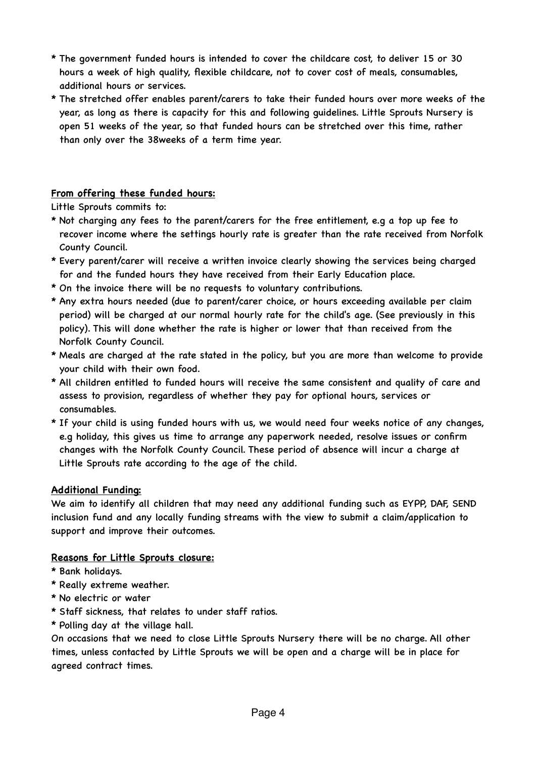- \* The government funded hours is intended to cover the childcare cost, to deliver 15 or 30 hours a week of high quality, flexible childcare, not to cover cost of meals, consumables, additional hours or services.
- \* The stretched offer enables parent/carers to take their funded hours over more weeks of the year, as long as there is capacity for this and following guidelines. Little Sprouts Nursery is open 51 weeks of the year, so that funded hours can be stretched over this time, rather than only over the 38weeks of a term time year.

## **From offering these funded hours:**

Little Sprouts commits to:

- \* Not charging any fees to the parent/carers for the free entitlement, e.g a top up fee to recover income where the settings hourly rate is greater than the rate received from Norfolk County Council.
- \* Every parent/carer will receive a written invoice clearly showing the services being charged for and the funded hours they have received from their Early Education place.
- \* On the invoice there will be no requests to voluntary contributions.
- \* Any extra hours needed (due to parent/carer choice, or hours exceeding available per claim period) will be charged at our normal hourly rate for the child's age. (See previously in this policy). This will done whether the rate is higher or lower that than received from the Norfolk County Council.
- \* Meals are charged at the rate stated in the policy, but you are more than welcome to provide your child with their own food.
- \* All children entitled to funded hours will receive the same consistent and quality of care and assess to provision, regardless of whether they pay for optional hours, services or consumables.
- \* If your child is using funded hours with us, we would need four weeks notice of any changes, e.g holiday, this gives us time to arrange any paperwork needed, resolve issues or confirm changes with the Norfolk County Council. These period of absence will incur a charge at Little Sprouts rate according to the age of the child.

#### **Additional Funding:**

We aim to identify all children that may need any additional funding such as EYPP, DAF, SEND inclusion fund and any locally funding streams with the view to submit a claim/application to support and improve their outcomes.

#### **Reasons for Little Sprouts closure:**

- \* Bank holidays.
- \* Really extreme weather.
- \* No electric or water
- \* Staff sickness, that relates to under staff ratios.
- \* Polling day at the village hall.

On occasions that we need to close Little Sprouts Nursery there will be no charge. All other times, unless contacted by Little Sprouts we will be open and a charge will be in place for agreed contract times.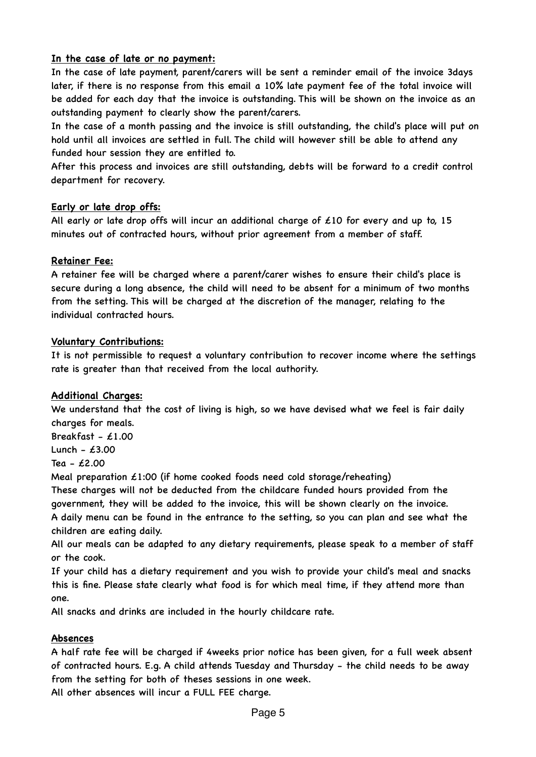## **In the case of late or no payment:**

In the case of late payment, parent/carers will be sent a reminder email of the invoice 3days later, if there is no response from this email a 10% late payment fee of the total invoice will be added for each day that the invoice is outstanding. This will be shown on the invoice as an outstanding payment to clearly show the parent/carers.

In the case of a month passing and the invoice is still outstanding, the child's place will put on hold until all invoices are settled in full. The child will however still be able to attend any funded hour session they are entitled to.

After this process and invoices are still outstanding, debts will be forward to a credit control department for recovery.

### **Early or late drop offs:**

All early or late drop offs will incur an additional charge of  $£10$  for every and up to, 15 minutes out of contracted hours, without prior agreement from a member of staff.

### **Retainer Fee:**

A retainer fee will be charged where a parent/carer wishes to ensure their child's place is secure during a long absence, the child will need to be absent for a minimum of two months from the setting. This will be charged at the discretion of the manager, relating to the individual contracted hours.

### **Voluntary Contributions:**

It is not permissible to request a voluntary contribution to recover income where the settings rate is greater than that received from the local authority.

## **Additional Charges:**

We understand that the cost of living is high, so we have devised what we feel is fair daily charges for meals.

Breakfast -  $£1.00$ 

Lunch -  $£3.00$ 

Tea - £2.00

Meal preparation  $\angle 1:00$  (if home cooked foods need cold storage/reheating)

These charges will not be deducted from the childcare funded hours provided from the government, they will be added to the invoice, this will be shown clearly on the invoice. A daily menu can be found in the entrance to the setting, so you can plan and see what the children are eating daily.

All our meals can be adapted to any dietary requirements, please speak to a member of staff or the cook.

If your child has a dietary requirement and you wish to provide your child's meal and snacks this is fine. Please state clearly what food is for which meal time, if they attend more than one.

All snacks and drinks are included in the hourly childcare rate.

## **Absences**

A half rate fee will be charged if 4weeks prior notice has been given, for a full week absent of contracted hours. E.g. A child attends Tuesday and Thursday - the child needs to be away from the setting for both of theses sessions in one week.

All other absences will incur a FULL FEE charge.